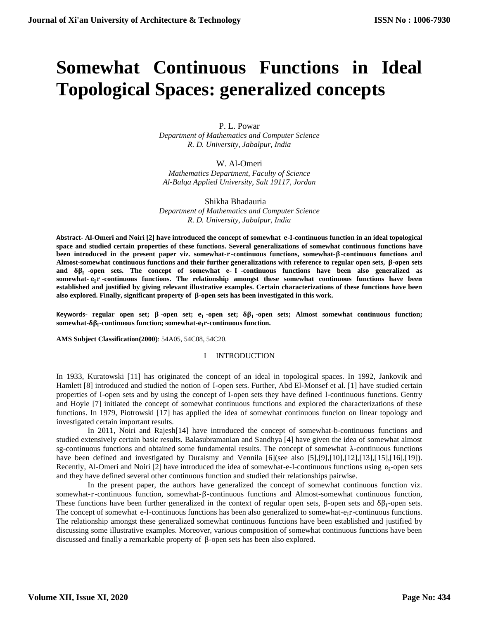# **Somewhat Continuous Functions in Ideal Topological Spaces: generalized concepts**

P. L. Powar

*Department of Mathematics and Computer Science R. D. University, Jabalpur, India*

W. Al-Omeri *Mathematics Department, Faculty of Science Al-Balqa Applied University, Salt 19117, Jordan*

 Shikha Bhadauria *Department of Mathematics and Computer Science R. D. University, Jabalpur, India*

**Abstract- Al-Omeri and Noiri [2] have introduced the concept of somewhat --continuous function in an ideal topological space and studied certain properties of these functions. Several generalizations of somewhat continuous functions have been introduced in the present paper viz. somewhat--continuous functions, somewhat--continuous functions and**  Almost-somewhat continuous functions and their further generalizations with reference to regular open sets,  $\beta$ -open sets **and -open sets. The concept of somewhat e- -continuous functions have been also generalized as somewhat- -continuous functions. The relationship amongst these somewhat continuous functions have been established and justified by giving relevant illustrative examples. Certain characterizations of these functions have been**  also explored. Finally, significant property of  $\beta$ -open sets has been investigated in this work.

**Keywords**- **regular open set; -open set; -open set; -open sets; Almost somewhat continuous function; somewhat-δβ<sub>I</sub>-continuous function; somewhat-e<sub>I</sub>r-continuous function.** 

**AMS Subject Classification(2000)**: 54A05, 54C08, 54C20.

# I INTRODUCTION

In 1933, Kuratowski [11] has originated the concept of an ideal in topological spaces. In 1992, Jankovik and Hamlett [8] introduced and studied the notion of I-open sets. Further, Abd El-Monsef et al. [1] have studied certain properties of I-open sets and by using the concept of I-open sets they have defined I-continuous functions. Gentry and Hoyle [7] initiated the concept of somewhat continuous functions and explored the characterizations of these functions. In 1979, Piotrowski [17] has applied the idea of somewhat continuous funcion on linear topology and investigated certain important results.

In 2011, Noiri and Rajesh[14] have introduced the concept of somewhat-b-continuous functions and studied extensively certain basic results. Balasubramanian and Sandhya [4] have given the idea of somewhat almost sg-continuous functions and obtained some fundamental results. The concept of somewhat λ-continuous functions have been defined and investigated by Duraismy and Vennila [6](see also [5],[9],[10],[12],[13],[15],[16],[19]). Recently, Al-Omeri and Noiri [2] have introduced the idea of somewhat-e-I-continuous functions using e<sub>I</sub>-open sets and they have defined several other continuous function and studied their relationships pairwise.

In the present paper, the authors have generalized the concept of somewhat continuous function viz. somewhat-r-continuous function, somewhat-β-continuous functions and Almost-somewhat continuous function, These functions have been further generalized in the context of regular open sets,  $\beta$ -open sets and  $\delta\beta_I$ -open sets. The concept of somewhat e-I-continuous functions has been also generalized to somewhat- $e_1r$ -continuous functions. The relationship amongst these generalized somewhat continuous functions have been established and justified by discussing some illustrative examples. Moreover, various composition of somewhat continuous functions have been discussed and finally a remarkable property of β-open sets has been also explored.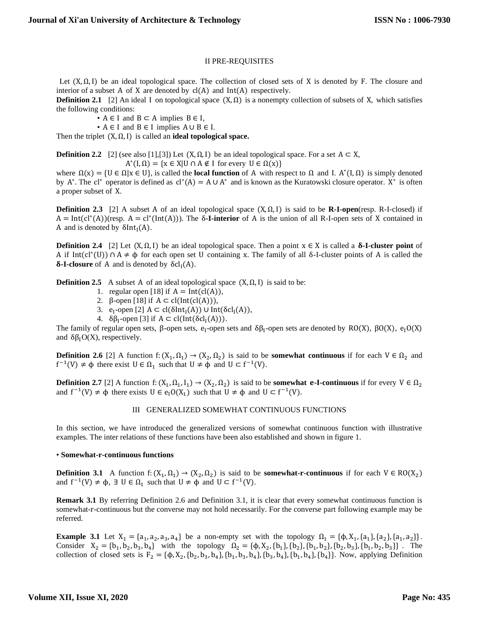# II PRE-REQUISITES

Let  $(X, \Omega, I)$  be an ideal topological space. The collection of closed sets of X is denoted by F. The closure and interior of a subset A of X are denoted by  $cl(A)$  and  $Int(A)$  respectively.

**Definition 2.1** [2] An ideal I on topological space  $(X, \Omega)$  is a nonempty collection of subsets of X, which satisfies the following conditions:

•  $A \in I$  and  $B \subset A$  implies  $B \in I$ ,

•  $A \in I$  and  $B \in I$  implies  $A \cup B \in I$ .

Then the triplet (X,Ω, I) is called an **ideal topological space.**

**Definition 2.2** [2] (see also [1],[3]) Let  $(X, \Omega, I)$  be an ideal topological space. For a set  $A \subset X$ ,  $A^*(I, \Omega) = \{x \in X | U \cap A \notin I \text{ for every } U \in \Omega(x)\}\$ 

where  $\Omega(x) = \{U \in \Omega | x \in U\}$ , is called the **local function** of A with respect to  $\Omega$  and I. A<sup>\*</sup>(I,  $\Omega$ ) is simply denoted by A<sup>\*</sup>. The cl<sup>\*</sup> operator is defined as  $cl^*(A) = A \cup A^*$  and is known as the Kuratowski closure operator. X<sup>\*</sup> is often a proper subset of X.

**Definition 2.3** [2] A subset A of an ideal topological space (X,Ω, I) is said to be **R-I-open**(resp. R-I-closed) if  $A = Int(cl^*(A))$ (resp.  $A = cl^*(Int(A))$ ). The  $\delta$ -**I-interior** of A is the union of all R-I-open sets of X contained in A and is denoted by  $\delta Int_I(A)$ .

**Definition 2.4** [2] Let  $(X, \Omega, I)$  be an ideal topological space. Then a point  $x \in X$  is called a **δ-I-cluster point** of A if Int(cl<sup>\*</sup>(U))  $\cap$  A  $\neq$   $\varphi$  for each open set U containing x. The family of all  $\delta$ -I-cluster points of A is called the  $\delta$ **-I-closure** of A and is denoted by  $\delta$ cl<sub>I</sub>(A).

**Definition 2.5** A subset A of an ideal topological space  $(X, \Omega, I)$  is said to be:

- 1. regular open [18] if  $A = Int(cl(A)),$
- 2. β-open [18] if  $A \subset cl(Int(cl(A))),$
- 3. e<sub>I</sub>-open [2]  $A \subset cl(\delta Int_I(A)) \cup Int(\delta cl_I(A)),$
- 4.  $\delta\beta_I$ -open [3] if  $A \subset cl(Int(\delta cl_I(A))).$

The family of regular open sets,  $\beta$ -open sets,  $e_1$ -open sets and  $\delta\beta_1$ -open sets are denoted by RO(X),  $\beta O(X)$ ,  $e_1O(X)$ and  $\delta \beta_I O(X)$ , respectively.

**Definition 2.6** [2] A function f:  $(X_1, \Omega_1) \to (X_2, \Omega_2)$  is said to be **somewhat continuous** if for each  $V \in \Omega_2$  and  $f^{-1}(V) \neq \phi$  there exist  $U \in \Omega_1$  such that  $U \neq \phi$  and  $U \subset f^{-1}(V)$ .

**Definition 2.7** [2] A function f:  $(X_1, \Omega_1, I_1) \to (X_2, \Omega_2)$  is said to be **somewhat <b>e-I-continuous** if for every  $V \in \Omega_2$ and  $f^{-1}(V) \neq \phi$  there exists  $U \in e_1O(X_1)$  such that  $U \neq \phi$  and  $U \subset f^{-1}(V)$ .

## III GENERALIZED SOMEWHAT CONTINUOUS FUNCTIONS

In this section, we have introduced the generalized versions of somewhat continuous function with illustrative examples. The inter relations of these functions have been also established and shown in figure 1.

## • **Somewhat-r-continuous functions**

**Definition 3.1** A function f:  $(X_1, \Omega_1) \to (X_2, \Omega_2)$  is said to be **somewhat-r-continuous** if for each  $V \in RO(X_2)$ and  $f^{-1}(V) \neq \phi$ ,  $\exists$   $U \in \Omega_1$  such that  $U \neq \phi$  and  $U \subset f^{-1}(V)$ .

**Remark 3.1** By referring Definition 2.6 and Definition 3.1, it is clear that every somewhat continuous function is somewhat-r-continuous but the converse may not hold necessarily. For the converse part following example may be referred.

**Example 3.1** Let  $X_1 = \{a_1, a_2, a_3, a_4\}$  be a non-empty set with the topology  $\Omega_1 = \{\phi, X_1, \{a_1\}, \{a_2\}, \{a_1, a_2\}\}\.$ Consider  $X_2 = \{b_1, b_2, b_3, b_4\}$  with the topology  $\Omega_2 = \{\phi, X_2, \{b_1\}, \{b_2\}, \{b_1, b_2\}, \{b_2, b_3\}, \{b_1, b_2, b_3\}\}$ . The collection of closed sets is  $F_2 = {\phi, X_2, {b_2, b_3, b_4}, {b_1, b_3, b_4}, {b_3, b_4}, {b_1, b_4}, {b_1, b_4}}$ . Now, applying Definition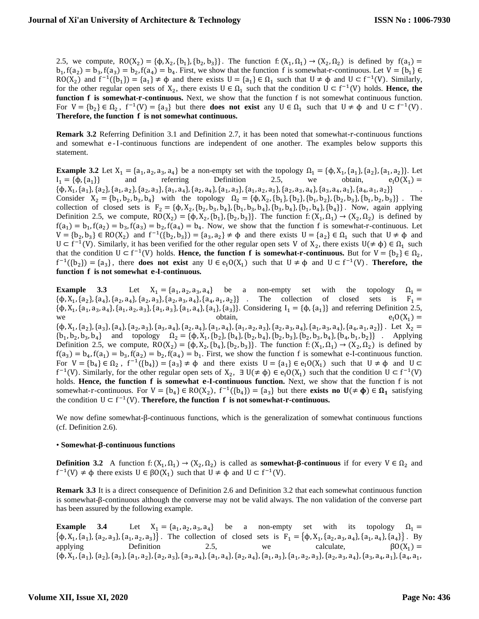2.5, we compute,  $RO(X_2) = {\phi, X_2, \{b_1\}, \{b_2, b_3\}}$ . The function f:  $(X_1, \Omega_1) \rightarrow (X_2, \Omega_2)$  is defined by  $f(a_1) =$  $b_1$ ,  $f(a_2) = b_3$ ,  $f(a_3) = b_2$ ,  $f(a_4) = b_4$ . First, we show that the function f is somewhat-r-continuous. Let  $V = \{b_1\} \in$ RO(X<sub>2</sub>) and  $f^{-1}(\{b_1\}) = \{a_1\} \neq \emptyset$  and there exists  $U = \{a_1\} \in \Omega_1$  such that  $U \neq \emptyset$  and  $U \subset f^{-1}(V)$ . Similarly, for the other regular open sets of  $X_2$ , there exists  $U \in \Omega_1$  such that the condition  $U \subset f^{-1}(V)$  holds. **Hence, the function <b>f** is somewhat-**r**-continuous. Next, we show that the function f is not somewhat continuous function. For  $V = \{b_2\} \in \Omega_2$ ,  $f^{-1}(V) = \{a_3\}$  but there **does not exist** any  $U \in \Omega_1$  such that  $U \neq \emptyset$  and  $U \subset f^{-1}(V)$ . **Therefore, the function is not somewhat continuous.**

**Remark 3.2** Referring Definition 3.1 and Definition 2.7, it has been noted that somewhat-r-continuous functions and somewhat e -I-continuous functions are independent of one another. The examples below supports this statement.

**Example 3.2** Let  $X_1 = \{a_1, a_2, a_3, a_4\}$  be a non-empty set with the topology  $\Omega_1 = \{\phi, X_1, \{a_1\}, \{a_2\}, \{a_1, a_2\}\}\.$  Let  $I_1 = {\phi, {a_1}}$  $\}$  and referring Definition 2.5, we obtain,  $e_1O(X_1) =$  $\{\varphi, X_1, \{a_1\}, \{a_2\}, \{a_1, a_2\}, \{a_2, a_3\}, \{a_1, a_4\}, \{a_2, a_4\}, \{a_1, a_3\}, \{a_1, a_2, a_3\}, \{a_2, a_3, a_4\}, \{a_3, a_4, a_1\}, \{a_4, a_1, a_2\}\}$ Consider  $X_2 = \{b_1, b_2, b_3, b_4\}$  with the topology  $\Omega_2 = \{\phi, X_2, \{b_1\}, \{b_2\}, \{b_1, b_2\}, \{b_2, b_3\}, \{b_1, b_2, b_3\}\}$ . The collection of closed sets is  $F_2 = {\phi, X_2, \{b_2, b_3, b_4\}, \{b_1, b_3, b_4\}, \{b_3, b_4\}, \{b_1, b_4\}, \{b_4\}}$ . Now, again applying Definition 2.5, we compute,  $RO(X_2) = \{\phi, X_2, \{b_1\}, \{b_2, b_3\}\}\.$  The function f:  $(X_1, \Omega_1) \rightarrow (X_2, \Omega_2)$  is defined by  $f(a_1) = b_1$ ,  $f(a_2) = b_3$ ,  $f(a_3) = b_2$ ,  $f(a_4) = b_4$ . Now, we show that the function f is somewhat-r-continuous. Let  $V = \{b_2, b_3\} \in RO(X_2)$  and  $f^{-1}(\{b_2, b_3\}) = \{a_3, a_2\} \neq \emptyset$  and there exists  $U = \{a_2\} \in \Omega_1$  such that  $U \neq \emptyset$  and  $U \subset f^{-1}(V)$ . Similarly, it has been verified for the other regular open sets V of  $X_2$ , there exists  $U(\neq \phi) \in \Omega_1$  such that the condition  $U \subset f^{-1}(V)$  holds. **Hence, the function f is somewhat-r-continuous.** But for  $V = \{b_2\} \in \Omega_2$ ,  $f^{-1}(\{b_2\}) = \{a_3\}$ , there **does not exist** any  $U \in e_1O(X_1)$  such that  $U \neq \phi$  and  $U \subset f^{-1}(V)$ . **Therefore, the function is not somewhat --continuous.**

**Example 3.3** Let  $X_1 = \{a_1, a_2, a_3, a_4\}$  be a non-empty set with the topology  $\Omega_1 =$  $\{\phi, X_1, \{a_2\}, \{a_4\}, \{a_2, a_4\}, \{a_2, a_3\}, \{a_2, a_3, a_4\}, \{a_4, a_1, a_2\}\}$ . The collection of closed sets is  $F_1 =$  $\{\phi, X_1, \{a_1, a_3, a_4\}, \{a_1, a_2, a_3\}, \{a_1, a_3\}, \{a_1, a_4\}, \{a_3\}\}\.$  Considering  $I_1 = \{\phi, \{a_1\}\}\$  and referring Definition 2.5, we btain,  $e_1O(X_1) =$  $\{\phi, X_1, \{a_2\}, \{a_3\}, \{a_4\}, \{a_2, a_3\}, \{a_3, a_4\}, \{a_2, a_4\}, \{a_1, a_4\}, \{a_1, a_2, a_3\}, \{a_2, a_3, a_4\}, \{a_1, a_3, a_4\}, \{a_4, a_1, a_2\}\}.$  Let  $X_2 =$  ${b_1, b_2, b_3, b_4}$  and topology  $\Omega_2 = {\phi, X_1, \{b_2\}, \{b_4\}, \{b_2, b_4\}, \{b_2, b_3\}, \{b_2, b_3, b_4\}, \{b_4, b_1, b_2\}}$ . Applying Definition 2.5, we compute,  $RO(X_2) = \{\phi, X_2, \{b_4\}, \{b_2, b_3\}\}\.$  The function f:  $(X_1, \Omega_1) \rightarrow (X_2, \Omega_2)$  is defined by  $f(a_3) = b_4$ ,  $f(a_1) = b_3$ ,  $f(a_2) = b_2$ ,  $f(a_4) = b_1$ . First, we show the function f is somewhat e-I-continuous function. For  $V = \{b_4\} \in \Omega_2$ ,  $f^{-1}(\{b_4\}) = \{a_3\} \neq \emptyset$  and there exists  $U = \{a_1\} \in e_1O(X_1)$  such that  $U \neq \emptyset$  and  $U \subset$  $f^{-1}(V)$ . Similarly, for the other regular open sets of  $X_2$ ,  $\exists U (\neq \phi) \in e_1O(X_1)$  such that the condition  $U \subset f^{-1}(V)$ holds. **Hence, the function is somewhat --continuous function.** Next, we show that the function f is not somewhat-r-continuous. For  $V = \{b_4\} \in RO(X_2)$ ,  $f^{-1}(\{b_4\}) = \{a_3\}$  but there **exists no**  $U(\neq \phi) \in \Omega_1$  satisfying the condition  $U \subset f^{-1}(V)$ . **Therefore, the function f** is not somewhat-**r**-continuous.

We now define somewhat-β-continuous functions, which is the generalization of somewhat continuous functions (cf. Definition 2.6).

# • **Somewhat--continuous functions**

**Definition 3.2** A function f:  $(X_1, \Omega_1) \to (X_2, \Omega_2)$  is called as **somewhat-β-continuous** if for every  $V \in \Omega_2$  and  $f^{-1}(V) \neq \phi$  there exists  $U \in \beta O(X_1)$  such that  $U \neq \phi$  and  $U \subset f^{-1}(V)$ .

**Remark 3.3** It is a direct consequence of Definition 2.6 and Definition 3.2 that each somewhat continuous function is somewhat-β-continuous although the converse may not be valid always. The non validation of the converse part has been assured by the following example.

**Example 3.4** Let  $X_1 = \{a_1, a_2, a_3, a_4\}$  be a non-empty set with its topology  $\Omega_1 =$  $\{\phi, X_1, \{a_1\}, \{a_2, a_3\}, \{a_1, a_2, a_3\}\}\.$  The collection of closed sets is  $F_1 = \{\phi, X_1, \{a_2, a_3, a_4\}, \{a_1, a_4\}, \{a_4\}\}\.$  By applying Definition 2.5, we calculate,  $\beta O(X_1) =$  $\{\varphi, X_1, \{a_1\}, \{a_2\}, \{a_3\}, \{a_1, a_2\}, \{a_2, a_3\}, \{a_3, a_4\}, \{a_1, a_4\}, \{a_2, a_4\}, \{a_1, a_3\}, \{a_1, a_2, a_3\}, \{a_2, a_3, a_4\}, \{a_3, a_4, a_1\}, \{a_4, a_1, a_2\}$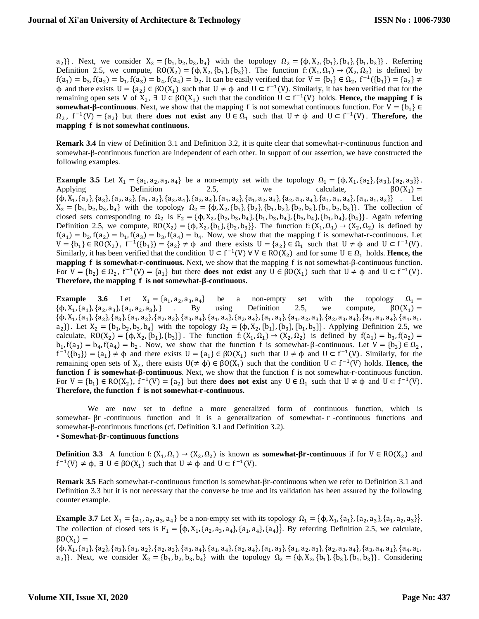$a_2$ }}. Next, we consider  $X_2 = \{b_1, b_2, b_3, b_4\}$  with the topology  $\Omega_2 = \{\phi, X_2, \{b_1\}, \{b_3\}, \{b_1, b_3\}\}\.$  Referring Definition 2.5, we compute,  $RO(X_2) = {\phi, X_2, \{b_1\}, \{b_3\}}$ . The function f:  $(X_1, \Omega_1) \rightarrow (X_2, \Omega_2)$  is defined by  $f(a_1) = b_3, f(a_2) = b_1, f(a_3) = b_4, f(a_4) = b_2$ . It can be easily verified that for  $V = \{b_1\} \in \Omega_2$ ,  $f^{-1}(\{b_1\}) = \{a_2\} \neq 0$  $\phi$  and there exists  $U = \{a_2\} \in \beta O(X_1)$  such that  $U \neq \phi$  and  $U \subset f^{-1}(V)$ . Similarly, it has been verified that for the remaining open sets V of  $X_2$ ,  $\exists U \in \beta O(X_1)$  such that the condition  $U \subset f^{-1}(V)$  holds. **Hence, the mapping f is somewhat-** $\beta$ **-continuous**. Next, we show that the mapping f is not somewhat continuous function. For  $V = \{b_1\} \in$  $\Omega_2$ ,  $f^{-1}(V) = \{a_2\}$  but there **does not exist** any  $U \in \Omega_1$  such that  $U \neq \emptyset$  and  $U \subset f^{-1}(V)$ . **Therefore, the mapping is not somewhat continuous.**

**Remark 3.4** In view of Definition 3.1 and Definition 3.2, it is quite clear that somewhat-r-continuous function and somewhat-β-continuous function are independent of each other. In support of our assertion, we have constructed the following examples.

**Example 3.5** Let  $X_1 = \{a_1, a_2, a_3, a_4\}$  be a non-empty set with the topology  $\Omega_1 = \{\phi, X_1, \{a_2\}, \{a_3\}, \{a_2, a_3\}\}\.$ Applying Definition 2.5, we calculate,  $\beta O(X_1) =$  $\{\phi, X_1, \{a_2\}, \{a_3\}, \{a_2, a_3\}, \{a_1, a_2\}, \{a_3, a_4\}, \{a_2, a_4\}, \{a_1, a_3\}, \{a_1, a_2, a_3\}, \{a_2, a_3, a_4\}, \{a_1, a_3, a_4\}, \{a_4, a_1, a_2\}\}$ . Let  $X_2 = \{b_1, b_2, b_3, b_4\}$  with the topology  $\Omega_2 = \{\phi, X_2, \{b_1\}, \{b_2\}, \{b_1, b_2\}, \{b_2, b_3\}, \{b_1, b_2, b_3\}\}\.$  The collection of closed sets corresponding to  $\Omega_2$  is  $F_2 = {\phi, X_2, {b_2, b_3, b_4}}, {b_1, b_3, b_4}, {b_3, b_4}, {b_1, b_4}, {b_1, b_4}, {b_4}\}$ . Again referring Definition 2.5, we compute,  $RO(X_2) = \{\phi, X_2, \{b_1\}, \{b_2, b_3\}\}\.$  The function f:  $(X_1, \Omega_1) \rightarrow (X_2, \Omega_2)$  is defined by  $f(a_1) = b_2, f(a_2) = b_1, f(a_3) = b_3, f(a_4) = b_4$ . Now, we show that the mapping f is somewhat-r-continuous. Let  $V = \{b_1\} \in RO(X_2)$ ,  $f^{-1}(\{b_1\}) = \{a_2\} \neq \emptyset$  and there exists  $U = \{a_2\} \in \Omega_1$  such that  $U \neq \emptyset$  and  $U \subset f^{-1}(V)$ . Similarly, it has been verified that the condition  $U \subset f^{-1}(V)$   $\forall V \in RO(X_2)$  and for some  $U \in \Omega_1$  holds. **Hence, the mapping is somewhat--continuous.** Next, we show that the mapping f is not somewhat-β-continuous function. For  $V = \{b_2\} \in \Omega_2$ ,  $f^{-1}(V) = \{a_1\}$  but there **does not exist** any  $U \in \beta O(X_1)$  such that  $U \neq \emptyset$  and  $U \subset f^{-1}(V)$ . Therefore, the mapping f is not somewhat- $\beta$ -continuous.

**Example** 3.6 Let  $X_1 = \{a_1, a_2, a_3, a_4\}$ be a non-empty set with the topology  $\Omega_1 =$ <br>using Definition 2.5, we compute,  $\beta O(X_1) =$  $\{\phi, X_1, \{a_1\}, \{a_2, a_3\}, \{a_1, a_2, a_3\}$ . By using Definition 2.5, we compute,  $\beta O(X_1) =$  $\{\varphi, X_1, \{a_1\}, \{a_2\}, \{a_3\}, \{a_1, a_2\}, \{a_2, a_3\}, \{a_3, a_4\}, \{a_1, a_4\}, \{a_2, a_4\}, \{a_1, a_3\}, \{a_1, a_2, a_3\}, \{a_2, a_3, a_4\}, \{a_1, a_3, a_4\}, \{a_4, a_1, a_2\}$  $a_2$ }}. Let  $X_2 = \{b_1, b_2, b_3, b_4\}$  with the topology  $\Omega_2 = \{\phi, X_2, \{b_1\}, \{b_3\}, \{b_1, b_3\}\}\.$  Applying Definition 2.5, we calculate,  $RO(X_2) = \{\phi, X_2, \{b_1\}, \{b_3\}\}\.$  The function  $f: (X_1, \Omega_1) \to (X_2, \Omega_2)$  is defined by  $f(a_1) = b_3, f(a_2) =$  $b_1$ ,  $f(a_3) = b_4$ ,  $f(a_4) = b_2$ . Now, we show that the function f is somewhat-β-continuous. Let  $V = {b_3} \in Ω_2$ ,  $f^{-1}(\{b_3\}) = \{a_1\} \neq \emptyset$  and there exists  $U = \{a_1\} \in \beta O(X_1)$  such that  $U \neq \emptyset$  and  $U \subset f^{-1}(V)$ . Similarly, for the remaining open sets of  $X_2$ , there exists  $U(\neq \phi) \in \beta O(X_1)$  such that the condition  $U \subset f^{-1}(V)$  holds. **Hence, the function <b>f** is somewhat-β-continuous. Next, we show that the function f is not somewhat-r-continuous function. For  $V = \{b_1\} \in RO(X_2)$ ,  $f^{-1}(V) = \{a_2\}$  but there **does not exist** any  $U \in \Omega_1$  such that  $U \neq \emptyset$  and  $U \subset f^{-1}(V)$ . **Therefore, the function is not somewhat--continuous.**

We are now set to define a more generalized form of continuous function, which is somewhat- βr -continuous function and it is a generalization of somewhat- r -continuous functions and somewhat-β-continuous functions (cf. Definition 3.1 and Definition 3.2). • **Somewhat--continuous functions**

**Definition 3.3** A function f:  $(X_1, \Omega_1) \to (X_2, \Omega_2)$  is known as **somewhat-βr-continuous** if for  $V \in RO(X_2)$  and  $f^{-1}(V) \neq \phi$ ,  $\exists$  U  $\in \beta O(X_1)$  such that  $U \neq \phi$  and  $U \subset f^{-1}(V)$ .

**Remark 3.5** Each somewhat-r-continuous function is somewhat-βr-continuous when we refer to Definition 3.1 and Definition 3.3 but it is not necessary that the converse be true and its validation has been assured by the following counter example.

**Example 3.7** Let  $X_1 = \{a_1, a_2, a_3, a_4\}$  be a non-empty set with its topology  $\Omega_1 = \{\phi, X_1, \{a_1\}, \{a_2, a_3\}, \{a_1, a_2, a_3\}\}.$ The collection of closed sets is  $F_1 = {\phi, X_1, \{a_2, a_3, a_4\}, \{a_1, a_4\}, \{a_4\}}$ . By referring Definition 2.5, we calculate,  $βO(X_1) =$ 

 $\{\varphi, X_1, \{a_1\}, \{a_2\}, \{a_3\}, \{a_1, a_2\}, \{a_2, a_3\}, \{a_3, a_4\}, \{a_1, a_4\}, \{a_2, a_4\}, \{a_1, a_3\}, \{a_1, a_2, a_3\}, \{a_2, a_3, a_4\}, \{a_3, a_4, a_1\}, \{a_4, a_1, a_2\}$  $a_2$ }}. Next, we consider  $X_2 = \{b_1, b_2, b_3, b_4\}$  with the topology  $\Omega_2 = \{\phi, X_2, \{b_1\}, \{b_3\}, \{b_1, b_3\}\}\.$  Considering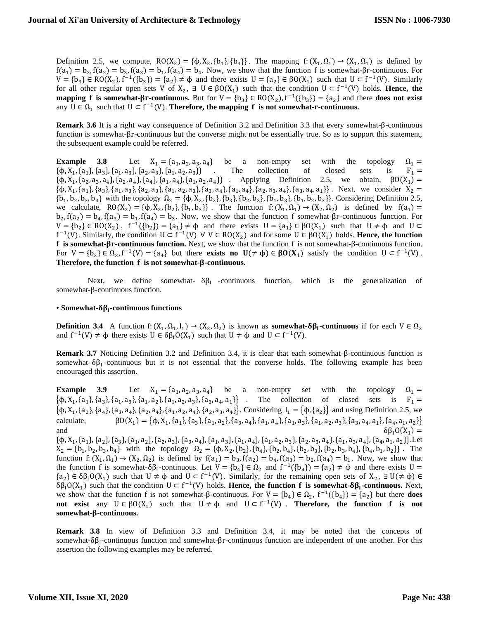Definition 2.5, we compute,  $RO(X_2) = {\phi, X_2, \{b_1\}, \{b_3\}}$ . The mapping f:  $(X_1, \Omega_1) \rightarrow (X_1, \Omega_1)$  is defined by  $f(a_1) = b_2, f(a_2) = b_3, f(a_3) = b_1, f(a_4) = b_4$ . Now, we show that the function f is somewhat- $\beta$ r-continuous. For  $V = \{b_3\} \in RO(X_2), f^{-1}(\{b_3\}) = \{a_2\} \neq \emptyset$  and there exists  $U = \{a_2\} \in BO(X_1)$  such that  $U \subset f^{-1}(V)$ . Similarly for all other regular open sets V of  $X_2$ ,  $\exists U \in \beta O(X_1)$  such that the condition  $U \subset f^{-1}(V)$  holds. **Hence, the mapping f** is somewhat- $\beta$ **r**-continuous. But for  $V = \{b_3\} \in RO(X_2)$ ,  $f^{-1}(\{b_3\}) = \{a_2\}$  and there **does not exist** any  $U \in \Omega_1$  such that  $U \subset f^{-1}(V)$ . **Therefore, the mapping f is not somewhat-r-continuous.** 

**Remark 3.6** It is a right way consequence of Definition 3.2 and Definition 3.3 that every somewhat-β-continuous function is somewhat-βr-continuous but the converse might not be essentially true. So as to support this statement, the subsequent example could be referred.

**Example 3.8** Let  $X_1 = \{a_1, a_2, a_3, a_4\}$  be a non-empty set with the topology  $\Omega_1 =$  $\{\phi, X_1, \{a_1\}, \{a_3\}, \{a_1, a_3\}, \{a_2, a_3\}, \{a_1, a_2, a_3\}\}$  . The collection of closed sets is  $F_1 =$  $\{\phi, X_1, \{a_2, a_3, a_4\}, \{a_2, a_4\}, \{a_4\}, \{a_1, a_4\}, \{a_1, a_2, a_4\}\}$ . Applying Definition 2.5, we obtain,  $\beta O(X_1)$  =  $\{\phi, X_1, \{a_1\}, \{a_3\}, \{a_1, a_3\}, \{a_2, a_3\}, \{a_1, a_2, a_3\}, \{a_3, a_4\}, \{a_1, a_4\}, \{a_2, a_3, a_4\}, \{a_3, a_4, a_1\}\}\.$  Next, we consider  $X_2 =$  ${b_1, b_2, b_3, b_4}$  with the topology  $\Omega_2 = {\phi, X_2, \{b_2\}, \{b_3\}, \{b_2, b_3\}, \{b_1, b_3\}, \{b_1, b_2, b_3\}}$ . Considering Definition 2.5, we calculate,  $RO(X_2) = {\phi, X_2, \{b_2\}, \{b_1, b_3\}}$ . The function  $f: (X_1, \Omega_1) \rightarrow (X_2, \Omega_2)$  is defined by  $f(a_1) =$  $b_2$ ,  $f(a_2) = b_4$ ,  $f(a_3) = b_1$ ,  $f(a_4) = b_3$ . Now, we show that the function f somewhat- $\beta$ r-continuous function. For  $V = \{b_2\} \in RO(X_2)$ ,  $f^{-1}(\{b_2\}) = \{a_1\} \neq \emptyset$  and there exists  $U = \{a_1\} \in BO(X_1)$  such that  $U \neq \emptyset$  and  $U \subset$  $f^{-1}(V)$ . Similarly, the condition  $U \subset f^{-1}(V)$  ∀  $V \in RO(X_2)$  and for some  $U \in \beta O(X_1)$  holds. **Hence, the function is somewhat--continuous function.** Next, we show that the function f is not somewhat-β-continuous function. For  $V = \{b_3\} \in \Omega_2$ ,  $f^{-1}(V) = \{a_4\}$  but there **exists no**  $U(\neq \phi) \in \beta O(X_1)$  satisfy the condition  $U \subset f^{-1}(V)$ . Therefore, the function f is not somewhat- $\beta$ -continuous.

Next, we define somewhat-  $\delta \beta_I$  -continuous function, which is the generalization of somewhat-β-continuous function.

# • Somewhat-δβ<sub>I</sub>-continuous functions

**Definition 3.4** A function f:  $(X_1, \Omega_1, I_1) \rightarrow (X_2, \Omega_2)$  is known as **somewhat-δβ<sub>1</sub>-continuous** if for each  $V \in \Omega_2$ and  $f^{-1}(V) \neq \phi$  there exists  $U \in \delta \beta_1 O(X_1)$  such that  $U \neq \phi$  and  $U \subset f^{-1}(V)$ .

**Remark 3.7** Noticing Definition 3.2 and Definition 3.4, it is clear that each somewhat-β-continuous function is somewhat- $\delta\beta_I$ -continuous but it is not essential that the converse holds. The following example has been encouraged this assertion.

**Example 3.9** Let  $X_1 = \{a_1, a_2, a_3, a_4\}$  be a non-empty set with the topology  $\Omega_1 =$  $\{\boldsymbol{\phi}, \mathrm{X}_1, \{\mathrm{a}_1\}, \{\mathrm{a}_3\}, \{\mathrm{a}_1, \mathrm{a}_3\}, \{\mathrm{a}_1, \mathrm{a}_2\}, \{\mathrm{a}_1, \mathrm{a}_2, \mathrm{a}_3\}, \{\mathrm{a}_3, \mathrm{a}_4, \mathrm{a}_1\}$ of closed sets is  $F_1 =$  $\{\phi, X_1, \{a_2\}, \{a_4\}, \{a_3, a_4\}, \{a_2, a_4\}, \{a_1, a_2, a_4\}, \{a_2, a_3, a_4\}\}\.$  Considering  $I_1 = \{\phi, \{a_2\}\}\$  and using Definition 2.5, we calculate,  $) = \{ \varphi, X_1, \{a_1\}, \{a_3\}, \{a_1, a_2\}, \{a_3, a_4\}, \{a_1, a_4\}, \{a_1, a_3\}, \{a_1, a_2, a_3\}, \{a_3, a_4, a_1\}, \{a_4, a_1, a_2\} \}$ and  $\delta \beta_1 O(X_1$  $\delta \beta_1 O(X_1) =$ 

 $\{\varphi, X_1, \{a_1\}, \{a_2\}, \{a_3\}, \{a_1, a_2\}, \{a_2, a_3\}, \{a_3, a_4\}, \{a_1, a_3\}, \{a_1, a_4\}, \{a_1, a_2, a_3\}, \{a_2, a_3, a_4\}, \{a_1, a_3, a_4\}, \{a_4, a_1, a_2\}\}.$  $X_2 = \{b_1, b_2, b_3, b_4\}$  with the topology  $\Omega_2 = \{\phi, X_2, \{b_2\}, \{b_4\}, \{b_2, b_4\}, \{b_2, b_3\}, \{b_2, b_3, b_4\}, \{b_4, b_1, b_2\}\}\.$  The function  $f: (X_1, \Omega_1) \to (X_2, \Omega_2)$  is defined by  $f(a_1) = b_3$ ,  $f(a_2) = b_4$ ,  $f(a_3) = b_2$ ,  $f(a_4) = b_1$ . Now, we show that the function f is somewhat- $\delta \beta_1$ -continuous. Let  $V = \{b_4\} \in \Omega_2$  and  $f^{-1}(\{b_4\}) = \{a_2\} \neq \emptyset$  and there exists  $U =$  $\{a_2\} \in \delta \beta_1 O(X_1)$  such that  $U \neq \phi$  and  $U \subset f^{-1}(V)$ . Similarly, for the remaining open sets of  $X_2$ ,  $\exists U(\neq \phi) \in$  $\delta \beta_1 O(X_1)$  such that the condition  $U \subset f^{-1}(V)$  holds. **Hence, the function f is somewhat-** $\delta \beta_1$ **-continuous.** Next, we show that the function f is not somewhat- $\beta$ -continuous. For  $V = \{b_4\} \in \Omega_2$ ,  $f^{-1}(\{b_4\}) = \{a_2\}$  but there **does not** exist any  $U \in \beta O(X_1)$  such that  $U \neq \phi$  and  $U \subset f^{-1}(V)$ . **Therefore, the function f** is not **somewhat--continuous.**

**Remark 3.8** In view of Definition 3.3 and Definition 3.4, it may be noted that the concepts of somewhat-δβ<sub>I</sub>-continuous function and somewhat-βr-continuous function are independent of one another. For this assertion the following examples may be referred.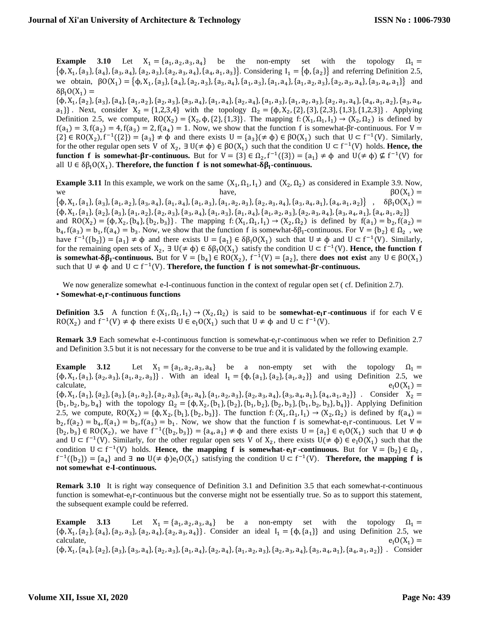**Example 3.10** Let  $X_1 = \{a_1, a_2, a_3, a_4\}$  be the non-empty set with the topology  $\Omega_1 =$  $\{\phi, X_1, \{a_3\}, \{a_4\}, \{a_3, a_4\}, \{a_2, a_3\}, \{a_2, a_3, a_4\}, \{a_4, a_1, a_3\}\}\.$  Considering  $I_1 = \{\phi, \{a_2\}\}\$  and referring Definition 2.5, we obtain,  $\beta O(X_1) = {\phi, X_1, \{a_3\}, \{a_4\}, \{a_2, a_3\}, \{a_3, a_4\}, \{a_1, a_3\}, \{a_1, a_4\}, \{a_1, a_2, a_3\}, \{a_2, a_3, a_4\}, \{a_3, a_4, a_1\}}$  and  $\delta \beta_1 O(X_1) =$ 

 $\{\varphi, X_1, \{a_2\}, \{a_3\}, \{a_4\}, \{a_1, a_2\}, \{a_2, a_3\}, \{a_3, a_4\}, \{a_1, a_4\}, \{a_2, a_4\}, \{a_1, a_3\}, \{a_1, a_2, a_3\}, \{a_2, a_3, a_4\}, \{a_4, a_1, a_2\}, \{a_3, a_4\}$  $a_1$ } . Next, consider  $X_2 = \{1,2,3,4\}$  with the topology  $\Omega_2 = \{\phi, X_2, \{2\}, \{3\}, \{2,3\}, \{1,3\}, \{1,2,3\}\}\$ . Applying Definition 2.5, we compute,  $RO(X_2) = \{X_2, \phi, \{2\}, \{1,3\}\}\$ . The mapping f:  $(X_1, \Omega_1, I_1) \rightarrow (X_2, \Omega_2)$  is defined by  $f(a_1) = 3$ ,  $f(a_2) = 4$ ,  $f(a_3) = 2$ ,  $f(a_4) = 1$ . Now, we show that the function f is somewhat- $\beta$ r-continuous. For  $V =$  $\{2\} \in \text{RO}(X_2)$ ,  $f^{-1}(\{2\}) = \{a_3\} \neq \emptyset$  and there exists  $U = \{a_3\} (\neq \emptyset) \in \beta O(X_1)$  such that  $U \subset f^{-1}(V)$ . Similarly, for the other regular open sets V of  $X_2$ ,  $\exists U (\neq \varphi) \in \beta O(X_1)$  such that the condition  $U \subset f^{-1}(V)$  holds. **Hence, the function <b>f** is somewhat- $\beta$ **r**-continuous. But for  $V = \{3\} \in \Omega_2$ ,  $f^{-1}(\{3\}) = \{a_1\} \neq \emptyset$  and  $U(\neq \emptyset) \nsubseteq f^{-1}(V)$  for all  $U \in \delta\beta_1 O(X_1)$ . **Therefore, the function f is not somewhat-** $\delta\beta_1$ **-continuous.** 

**Example 3.11** In this example, we work on the same  $(X_1, \Omega_1, I_1)$  and  $(X_2, \Omega_2)$  as considered in Example 3.9. Now, we have,  $\beta O(X_1$  $\beta O(X_1) =$ 

 $\{\mathsf{b}, \mathrm{X}_1, \{\mathrm{a}_1\}, \{\mathrm{a}_3\}, \{\mathrm{a}_1, \mathrm{a}_2\}, \{\mathrm{a}_3, \mathrm{a}_4\}, \{\mathrm{a}_1, \mathrm{a}_4\}, \{\mathrm{a}_1, \mathrm{a}_3\}, \{\mathrm{a}_1, \mathrm{a}_2, \mathrm{a}_3\}, \{\mathrm{a}_2, \mathrm{a}_3, \mathrm{a}_4\}, \{\mathrm{a}_3, \mathrm{a}_4, \mathrm{a}_1\}, \{\mathrm{a}_4, \mathrm{a}_1, \mathrm{a}_2\}, \{\mathrm{a}_4, \mathrm{a}_1\}$  $\}$ ,  $\delta \beta_1 O(X_1) =$  $\{\varphi, X_1, \{a_1\}, \{a_2\}, \{a_3\}, \{a_1, a_2\}, \{a_2, a_3\}, \{a_3, a_4\}, \{a_1, a_3\}, \{a_1, a_4\}, \{a_1, a_2, a_3\}, \{a_2, a_3, a_4\}, \{a_3, a_4, a_1\}, \{a_4, a_1, a_2\}\}$ and RO(X<sub>2</sub>) = { $\phi$ , X<sub>2</sub>, { $b_4$ }, { $b_2$ ,  $b_3$ }}. The mapping f: (X<sub>1</sub>,  $\Omega_1$ , I<sub>1</sub>)  $\rightarrow$  (X<sub>2</sub>,  $\Omega_2$ ) is defined by f( $a_1$ ) =  $b_2$ , f( $a_2$ ) =  $b_4$ ,  $f(a_3) = b_1$ ,  $f(a_4) = b_3$ . Now, we show that the function f is somewhat- $\delta \beta_1$ -continuous. For  $V = \{b_2\} \in \Omega_2$ , we have  $f^{-1}(\{b_2\}) = \{a_1\} \neq \emptyset$  and there exists  $U = \{a_1\} \in \delta\beta_1 O(X_1)$  such that  $U \neq \emptyset$  and  $U \subset f^{-1}(V)$ . Similarly, for the remaining open sets of  $X_2$ ,  $\exists U (\neq \phi) \in \delta \beta_1 O(X_1)$  satisfy the condition  $U \subset f^{-1}(V)$ . **Hence, the function f is somewhat-** $\delta \beta_1$ **-continuous.** But for  $V = \{b_4\} \in RO(X_2)$ ,  $f^{-1}(V) = \{a_2\}$ , there **does not exist** any  $U \in BO(X_1)$ such that  $U \neq \phi$  and  $U \subset f^{-1}(V)$ . **Therefore, the function f** is not somewhat- $\beta$ r-continuous.

We now generalize somewhat e-I-continuous function in the context of regular open set (cf. Definition 2.7). • **Somewhat--continuous functions**

**Definition 3.5** A function  $f: (X_1, \Omega_1, I_1) \to (X_2, \Omega_2)$  is said to be **somewhat-** $e_1r$ **-continuous** if for each  $V \in$ RO(X<sub>2</sub>) and  $f^{-1}(V) \neq \phi$  there exists  $U \in e_1O(X_1)$  such that  $U \neq \phi$  and  $U \subset f^{-1}(V)$ .

**Remark 3.9** Each somewhat e-I-continuous function is somewhat-e<sub>I</sub>r-continuous when we refer to Definition 2.7 and Definition 3.5 but it is not necessary for the converse to be true and it is validated by the following example.

**Example 3.12** Let  $X_1 = \{a_1, a_2, a_3, a_4\}$  be a non-empty set with the topology  $\Omega_1 =$  $\{\phi, X_1, \{a_1\}, \{a_2, a_3\}, \{a_1, a_2, a_3\}\}\.$  With an ideal  $I_1 = \{\phi, \{a_1\}, \{a_2\}, \{a_1, a_2\}\}\$  and using Definition 2.5, we calculate,  $e_1O(X_1) =$ 

 $\{\phi, X_1, \{a_1\}, \{a_2\}, \{a_3\}, \{a_1, a_2\}, \{a_2, a_3\}, \{a_1, a_4\}, \{a_1, a_2, a_3\}, \{a_2, a_3, a_4\}, \{a_3, a_4, a_1\}, \{a_4, a_1, a_2\}\}$ . Consider  $X_2 =$  ${b_1, b_2, b_3, b_4}$  with the topology  $\Omega_2 = {\phi, X_2, {b_1}, {b_2}, {b_1, b_2}, {b_2, b_3}, {b_1, b_2, b_3}, {b_4}}$ . Applying Definition 2.5, we compute,  $RO(X_2) = \{\phi, X_2, \{b_1\}, \{b_2, b_3\}\}\.$  The function f:  $(X_1, \Omega_1, I_1) \rightarrow (X_2, \Omega_2)$  is defined by  $f(a_4) =$  $b_2$ ,  $f(a_2) = b_4$ ,  $f(a_1) = b_3$ ,  $f(a_3) = b_1$ . Now, we show that the function f is somewhat- $e_1$ r-continuous. Let  $V =$  ${b_2, b_3} \in RO(X_2)$ , we have  $f^{-1}({b_2, b_3}) = {a_4, a_1} \neq \emptyset$  and there exists  $U = {a_1} \in e_1O(X_1)$  such that  $U \neq \emptyset$ and  $U \subset f^{-1}(V)$ . Similarly, for the other regular open sets V of  $X_2$ , there exists  $U(\neq \phi) \in e_1O(X_1)$  such that the condition  $U \subset f^{-1}(V)$  holds. **Hence, the mapping f is somewhat-** $e_1r$ **-continuous.** But for  $V = \{b_2\} \in \Omega_2$ ,  $f^{-1}(\{b_2\}) = \{a_4\}$  and  $\exists$  **no**  $U(\neq \phi)e_1O(X_1)$  satisfying the condition  $U \subset f^{-1}(V)$ . **Therefore, the mapping f is not somewhat --continuous.**

**Remark 3.10** It is right way consequence of Definition 3.1 and Definition 3.5 that each somewhat-r-continuous function is somewhat- $e_I$ r-continuous but the converse might not be essentially true. So as to support this statement, the subsequent example could be referred.

**Example 3.13** Let  $X_1 = \{a_1, a_2, a_3, a_4\}$  be a non-empty set with the topology  $\Omega_1 =$  $\{\phi, X_1, \{a_2\}, \{a_4\}, \{a_2, a_3\}, \{a_2, a_4\}, \{a_2, a_3, a_4\}\}\.$  Consider an ideal  $I_1 = \{\phi, \{a_1\}\}\$ and using Definition 2.5, we calculate,  $e_1O(X_1) =$  $\{\phi, X_1, \{a_4\}, \{a_2\}, \{a_3\}, \{a_3, a_4\}, \{a_2, a_3\}, \{a_1, a_4\}, \{a_2, a_4\}, \{a_1, a_2, a_3\}, \{a_2, a_3, a_4\}, \{a_3, a_4, a_1\}, \{a_4, a_1, a_2\}\}$ . Consider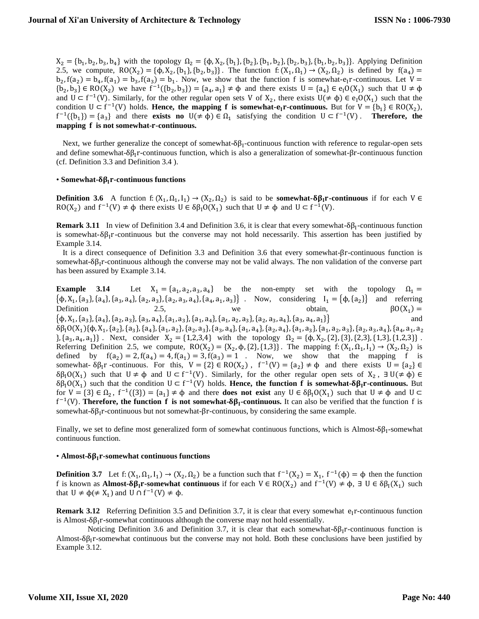$X_2 = \{b_1, b_2, b_3, b_4\}$  with the topology  $\Omega_2 = \{\phi, X_2, \{b_1\}, \{b_2\}, \{b_1, b_2\}, \{b_2, b_3\}, \{b_1, b_2, b_3\}\}\$ . Applying Definition 2.5, we compute,  $RO(X_2) = {\phi, X_2, \{b_1\}, \{b_2, b_3\}}$ . The function f:  $(X_1, \Omega_1) \rightarrow (X_2, \Omega_2)$  is defined by  $f(a_4) =$  $b_2, f(a_2) = b_4, f(a_1) = b_3, f(a_3) = b_1$ . Now, we show that the function f is somewhat-e<sub>I</sub>r-continuous. Let  $V =$  ${b_2, b_3} \in RO(X_2)$  we have  $f^{-1}({b_2, b_3}) = {a_4, a_1} \neq \emptyset$  and there exists  $U = {a_4} \in e_1O(X_1)$  such that  $U \neq \emptyset$ and  $U \subset f^{-1}(V)$ . Similarly, for the other regular open sets V of  $X_2$ , there exists  $U(\neq \phi) \in e_1O(X_1)$  such that the condition  $U \subset f^{-1}(V)$  holds. **Hence, the mapping f is somewhat-** $e_1r$ **-continuous.** But for  $V = \{b_1\} \in RO(X_2)$ ,  $f^{-1}(\{b_1\}) = \{a_3\}$  and there **exists no**  $U(\neq \phi) \in \Omega_1$  satisfying the condition  $U \subset f^{-1}(V)$ . **Therefore, the mapping is not somewhat--continuous.**

Next, we further generalize the concept of somewhat- $\delta\beta_I$ -continuous function with reference to regular-open sets and define somewhat- $\delta \beta_1 r$ -continuous function, which is also a generalization of somewhat- $\beta r$ -continuous function (cf. Definition 3.3 and Definition 3.4 ).

# • Somewhat- $\delta \beta_1$ r-continuous functions

**Definition 3.6** A function  $f: (X_1, \Omega_1, I_1) \to (X_2, \Omega_2)$  is said to be **somewhat-** $\delta \beta_1 r$ **-continuous** if for each V  $\in$ RO(X<sub>2</sub>) and  $f^{-1}(V) \neq \phi$  there exists  $U \in \delta \beta_1 O(X_1)$  such that  $U \neq \phi$  and  $U \subset f^{-1}(V)$ .

**Remark 3.11** In view of Definition 3.4 and Definition 3.6, it is clear that every somewhat- $\delta \beta_1$ -continuous function is somewhat- $\delta \beta_1 r$ -continuous but the converse may not hold necessarily. This assertion has been justified by Example 3.14.

It is a direct consequence of Definition 3.3 and Definition 3.6 that every somewhat-βr-continuous function is somewhat- $\delta \beta_1$ r-continuous although the converse may not be valid always. The non validation of the converse part has been assured by Example 3.14.

**Example 3.14** Let  $X_1 = \{a_1, a_2, a_3, a_4\}$  be the non-empty set with the topology  $\Omega_1 =$  $\{\phi, X_1, \{a_3\}, \{a_4\}, \{a_3, a_4\}, \{a_2, a_3\}, \{a_2, a_3, a_4\}, \{a_4, a_1, a_3\}\}$ . Now, considering  $I_1 = \{\phi, \{a_2\}\}\$  and referring Definition 2.5, we obtain,  $\beta O(X_1)$  $\beta O(X_1) =$  $\{\boldsymbol{\phi}, \mathrm{X}_1, \{\mathrm{a}_3\}, \{\mathrm{a}_4\}, \{\mathrm{a}_2, \mathrm{a}_3\}, \{\mathrm{a}_3, \mathrm{a}_4\}, \{\mathrm{a}_1, \mathrm{a}_3\}, \{\mathrm{a}_1, \mathrm{a}_4\}, \{\mathrm{a}_1, \mathrm{a}_2, \mathrm{a}_3\}, \{\mathrm{a}_2, \mathrm{a}_3, \mathrm{a}_4\}, \{\mathrm{a}_3, \mathrm{a}_4, \mathrm{a}_1\}$  $\{\}$  and  $\delta\beta_{I}O(X_{1})\{\phi,X_{1},\{a_{2}\},\{a_{3}\},\{a_{4}\},\{a_{1},a_{2}\},\{a_{2},a_{3}\},\{a_{3},a_{4}\},\{a_{1},a_{4}\},\{a_{2},a_{4}\},\{a_{1},a_{3}\},\{a_{1},a_{2},a_{3}\},\{a_{2},a_{3},a_{4}\},\{a_{4},a_{1},a_{2}\},\{a_{1},a_{2},a_{3}\},\{a_{1},a_{2},a_{3}\},\{a_{1},a_{1},a_{2}\},\{a_{1},a_{1},a_{2}\},\{a_{1},a_{1$  $\{a_3, a_4, a_1\}$ . Next, consider  $X_2 = \{1, 2, 3, 4\}$  with the topology  $\Omega_2 = \{\phi, X_2, \{2\}, \{3\}, \{2, 3\}, \{1, 2, 3\}\}$ . Referring Definition 2.5, we compute,  $RO(X_2) = \{X_2, \phi, \{2\}, \{1,3\}\}\.$  The mapping  $f: (X_1, \Omega_1, I_1) \rightarrow (X_2, \Omega_2)$  is defined by  $f(a_2) = 2$ ,  $f(a_4) = 4$ ,  $f(a_1) = 3$ ,  $f(a_3) = 1$ . Now, we show that the mapping f is somewhat-  $\delta \beta_1 r$  -continuous. For this,  $V = \{2\} \in RO(X_2)$ ,  $f^{-1}(V) = \{a_2\} \neq \emptyset$  and there exists  $U = \{a_2\} \in$  $δβ₁O(X₁)$  such that  $U ≠ φ$  and  $U ⊂ f^{-1}(V)$ . Similarly, for the other regular open sets of  $X₂$ ,  $∃U(≠ φ) ∈$  $\delta \beta_1 O(X_1)$  such that the condition  $U \subset f^{-1}(V)$  holds. **Hence, the function f is somewhat-** $\delta \beta_1 r$ **-continuous.** But for  $V = \{3\} \in \Omega_2$ ,  $f^{-1}(\{3\}) = \{a_1\} \neq \emptyset$  and there **does not exist** any  $U \in \delta\beta_1O(X_1)$  such that  $U \neq \emptyset$  and  $U \subset$  $f^{-1}(V)$ . **Therefore, the function f is not somewhat-** $\delta \beta_1$ **-continuous.** It can also be verified that the function f is somewhat-δ $β_1r$ -continuous but not somewhat- $βr$ -continuous, by considering the same example.

Finally, we set to define most generalized form of somewhat continuous functions, which is Almost- $\delta\beta_I$ -somewhat continuous function.

## $\cdot$  Almost- $\delta \beta_1$ r-somewhat continuous functions

**Definition 3.7** Let  $f: (X_1, \Omega_1, I_1) \to (X_2, \Omega_2)$  be a function such that  $f^{-1}(X_2) = X_1$ ,  $f^{-1}(\phi) = \phi$  then the function f is known as **Almost-** $\delta \beta_1 r$ **-somewhat continuous** if for each  $V \in RO(X_2)$  and  $f^{-1}(V) \neq \emptyset$ ,  $\exists U \in \delta \beta_1(X_1)$  such that  $U \neq \varphi(\neq X_1)$  and  $U \cap f^{-1}(V) \neq \varphi$ .

**Remark 3.12** Referring Definition 3.5 and Definition 3.7, it is clear that every somewhat  $e_1r$ -continuous function is Almost- $\delta \beta_1 r$ -somewhat continuous although the converse may not hold essentially.

Noticing Definition 3.6 and Definition 3.7, it is clear that each somewhat-δ $β₁r$ -continuous function is Almost- $\delta \beta_1$ r-somewhat continuous but the converse may not hold. Both these conclusions have been justified by Example 3.12.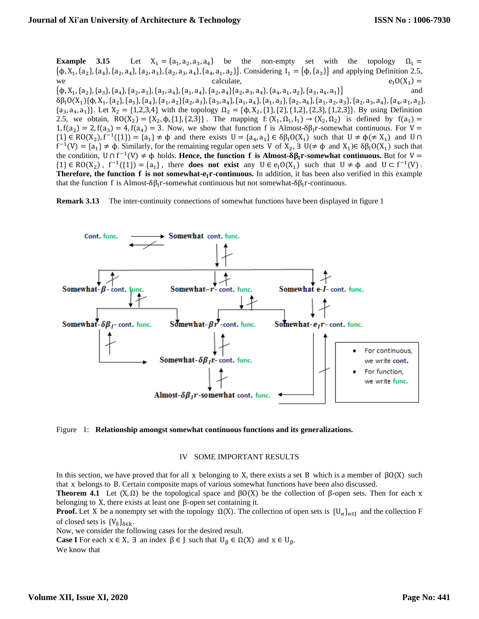**Example 3.15** Let  $X_1 = \{a_1, a_2, a_3, a_4\}$  be the non-empty set with the topology  $\Omega_1 =$  $\{\phi, X_1, \{a_2\}, \{a_4\}, \{a_2, a_4\}, \{a_2, a_3\}, \{a_2, a_3, a_4\}, \{a_4, a_1, a_2\}\}\.$  Considering  $I_1 = \{\phi, \{a_3\}\}\$  and applying Definition 2.5, we calculate,  $e_1O(X_1$  $e_1O(X_1) =$  $\{\boldsymbol{\varphi}, \text{X}_1, \{\text{a}_2\}, \{\text{a}_3\}, \{\text{a}_4\}, \{\text{a}_2, \text{a}_3\}, \{\text{a}_3, \text{a}_4\}, \{\text{a}_1, \text{a}_4\}, \{\text{a}_2, \text{a}_4\}, \{\text{a}_2, \text{a}_3, \text{a}_4\}, \{\text{a}_4, \text{a}_1, \text{a}_2\}, \{\text{a}_3, \text{a}_4, \text{a}_1\}$ }} and  $\delta\beta_{1}O(X_{1})\{\phi,X_{1},\{a_{2}\},\{a_{3}\},\{a_{4}\},\{a_{1},a_{2}\}\{a_{2},a_{3}\},\{a_{3},a_{4}\},\{a_{1},a_{4}\},\{a_{1},a_{3}\},\{a_{2},a_{4}\},\{a_{1},a_{2},a_{3}\},\{a_{2},a_{3},a_{4}\},\{a_{4},a_{1},a_{2}\},$  $\{a_3, a_4, a_1\}$ . Let  $X_2 = \{1,2,3,4\}$  with the topology  $\Omega_2 = \{\phi, X_2, \{1\}, \{2\}, \{1,2\}, \{2,3\}, \{1,2,3\}\}$ . By using Definition 2.5, we obtain,  $RO(X_2) = \{X_2, \phi, \{1\}, \{2,3\}\}\$ . The mapping f:  $(X_1, \Omega_1, I_1) \to (X_2, \Omega_2)$  is defined by  $f(a_1) =$ 1,  $f(a_2) = 2$ ,  $f(a_3) = 4$ ,  $f(a_4) = 3$ . Now, we show that function f is Almost- $\delta \beta_1 r$ -somewhat continuous. For V =  $\{1\} \in \text{RO}(X_2)$ ,  $f^{-1}(\{1\}) = \{a_1\} \neq \emptyset$  and there exists  $U = \{a_4, a_1\} \in \delta \beta_1 O(X_1)$  such that  $U \neq \emptyset (\neq X_1)$  and  $U \cap$  $f^{-1}(V) = \{a_1\} \neq \phi$ . Similarly, for the remaining regular open sets V of  $X_2$ ,  $\exists U (\neq \phi \text{ and } X_1) \in \delta \beta_1 O(X_1)$  such that the condition,  $U \cap f^{-1}(V) \neq \emptyset$  holds. **Hence, the function f is Almost-** $\delta \beta_1 r$ **-somewhat continuous.** But for  $V =$  $\{1\} \in \text{RO}(X_2)$ ,  $f^{-1}(\{1\}) = \{a_1\}$ , there **does not exist** any  $U \in e_1O(X_1)$  such that  $U \neq \emptyset$  and  $U \subset f^{-1}(V)$ . **Therefore, the function f is not somewhat-** $e_1r$ **-continuous.** In addition, it has been also verified in this example

that the function f is Almost- $\delta \beta_1 r$ -somewhat continuous but not somewhat- $\delta \beta_1 r$ -continuous.

**Remark 3.13** The inter-continuity connections of somewhat functions have been displayed in figure 1





## IV SOME IMPORTANT RESULTS

In this section, we have proved that for all x belonging to X, there exists a set B which is a member of  $βO(X)$  such that x belongs to B. Certain composite maps of various somewhat functions have been also discussed.

**Theorem 4.1** Let  $(X, \Omega)$  be the topological space and  $\beta O(X)$  be the collection of  $\beta$ -open sets. Then for each x belonging to X, there exists at least one  $\beta$ -open set containing it.

**Proof.** Let X be a nonempty set with the topology  $\Omega(X)$ . The collection of open sets is  $\{U_{\alpha}\}_{{\alpha}\in I}$  and the collection F of closed sets is  ${V_\delta}_{\delta \in k}$ .

Now, we consider the following cases for the desired result.

**Case I** For each  $x \in X$ ,  $\exists$  an index  $\beta \in J$  such that  $U_{\beta} \in \Omega(X)$  and  $x \in U_{\beta}$ . We know that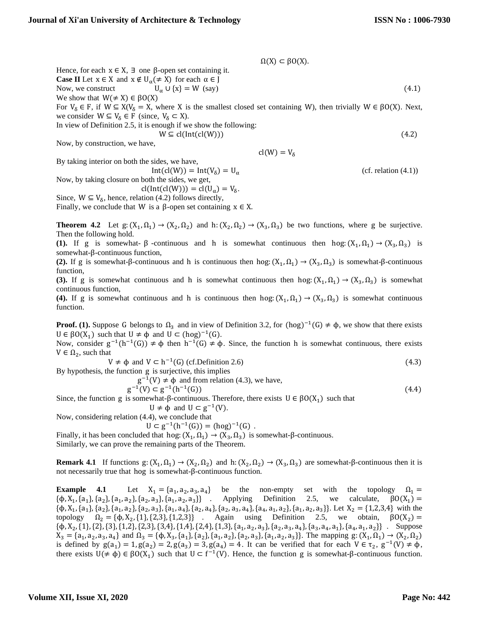$\Omega(X) \subset \beta O(X)$ . Hence, for each  $x \in X$ ,  $\exists$  one  $\beta$ -open set containing it. **Case II** Let  $x \in X$  and  $x \notin U_\alpha (\neq X)$  for each  $\alpha \in J$ Now, we construct  $U_{\alpha} \cup \{x\} = W$  (say) (4.1) We show that  $W(\neq X) \in \beta O(X)$ For  $V_{\delta} \in F$ , if  $W \subseteq X(V_{\delta} = X$ , where X is the smallest closed set containing W), then trivially  $W \in \beta O(X)$ . Next, we consider  $W \subseteq V_{\delta} \in F$  (since,  $V_{\delta} \subset X$ ). In view of Definition 2.5, it is enough if we show the following:  $W \subseteq cl(Int(cl(W)))$  (4.2) Now, by construction, we have,  $cl(W) = V_{\delta}$ 

By taking interior on both the sides, we have,

 $Int(cl(W)) = Int(V_\delta) = U_\alpha$  (cf. relation (4.1))

Now, by taking closure on both the sides, we get,  $cl(int(cl(W))) = cl(U_\alpha) = V_\delta.$ 

Since,  $W \subseteq V_{\delta}$ , hence, relation (4.2) follows directly,

Finally, we conclude that W is a  $\beta$ -open set containing  $x \in X$ .

**Theorem 4.2** Let  $g: (X_1, \Omega_1) \to (X_2, \Omega_2)$  and  $h: (X_2, \Omega_2) \to (X_3, \Omega_3)$  be two functions, where g be surjective. Then the following hold.

(1). If g is somewhat-  $\beta$  -continuous and h is somewhat continuous then hog:  $(X_1, \Omega_1) \rightarrow (X_3, \Omega_3)$  is somewhat-β-continuous function,

(2). If g is somewhat-β-continuous and h is continuous then hog:  $(X_1, \Omega_1) \to (X_3, \Omega_3)$  is somewhat-β-continuous function,

**(3).** If g is somewhat continuous and h is somewhat continuous then hog:  $(X_1, \Omega_1) \rightarrow (X_3, \Omega_3)$  is somewhat continuous function,

**(4).** If g is somewhat continuous and h is continuous then hog:  $(X_1, \Omega_1) \to (X_3, \Omega_3)$  is somewhat continuous function.

**Proof.** (1). Suppose G belongs to  $\Omega_3$  and in view of Definition 3.2, for  $(hog)^{-1}(G) \neq \varphi$ , we show that there exists  $U \in \beta O(X_1)$  such that  $U \neq \varphi$  and  $U \subset (h \circ g)^{-1}(G)$ .

Now, consider  $g^{-1}(h^{-1}(G)) \neq \phi$  then  $h^{-1}(G) \neq \phi$ . Since, the function h is somewhat continuous, there exists  $V \in \Omega_2$ , such that

$$
V \neq \phi \text{ and } V \subset h^{-1}(G) \text{ (cf.Definition 2.6)} \tag{4.3}
$$

By hypothesis, the function g is surjective, this implies

 $g^{-1}(V) \neq \phi$  and from relation (4.3), we have,

$$
g^{-1}(V) \subset g^{-1}(h^{-1}(G))
$$
\n(4.4)

Since, the function g is somewhat-β-continuous. Therefore, there exists  $U \in \beta O(X_1)$  such that  $U \neq \phi$  and  $U \subset g^{-1}(V)$ .

Now, considering relation (4.4), we conclude that

$$
U \subset g^{-1}(h^{-1}(G)) = (hog)^{-1}(G)
$$
.

Finally, it has been concluded that hog:  $(X_1, \Omega_1) \rightarrow (X_3, \Omega_3)$  is somewhat- $\beta$ -continuous. Similarly, we can prove the remaining parts of the Theorem.

**Remark 4.1** If functions  $g: (X_1, \Omega_1) \to (X_2, \Omega_2)$  and h:  $(X_2, \Omega_2) \to (X_3, \Omega_3)$  are somewhat-β-continuous then it is not necessarily true that hog is somewhat-β-continuous function.

**Example 4.1** Let  $X_1 = \{a_1, a_2, a_3, a_4\}$  be the non-empty set with the topology  $\Omega_1 =$  $\{\phi, X_1, \{a_1\}, \{a_2\}, \{a_1, a_2\}, \{a_2, a_3\}, \{a_1, a_2, a_3\}\}$ . Applying Definition 2.5, we calculate,  $\beta O(X_1)$  =  $\{\phi, X_1, \{a_1\}, \{a_2\}, \{a_1, a_2\}, \{a_2, a_3\}, \{a_1, a_4\}, \{a_2, a_4\}, \{a_2, a_3, a_4\}, \{a_4, a_1, a_2\}, \{a_1, a_2, a_3\}\}\.$  Let  $X_2 = \{1, 2, 3, 4\}$  with the topology  $\Omega_2 = {\phi, X_2, {1}, {2,3}, {1,2,3}}$  . Again using Definition 2.5, we obtain,  $\beta O(X_2) =$  $\{\phi, X_2, \{1\}, \{2\}, \{3\}, \{1,2\}, \{2,3\}, \{3,4\}, \{1,4\}, \{2,4\}, \{1,3\}, \{a_1, a_2, a_3\}, \{a_2, a_3, a_4\}, \{a_3, a_4, a_1\}, \{a_4, a_1, a_2\}\}$ . Suppose  $X_3 = \{a_1, a_2, a_3, a_4\}$  and  $\Omega_3 = \{\phi, X_3, \{a_1\}, \{a_2\}, \{a_1, a_2\}, \{a_2, a_3\}, \{a_1, a_2, a_3\}\}\.$  The mapping  $g: (X_1, \Omega_1) \to (X_2, \Omega_2)$ is defined by  $g(a_1) = 1$ ,  $g(a_2) = 2$ ,  $g(a_3) = 3$ ,  $g(a_4) = 4$ . It can be verified that for each  $V \in \tau_2$ ,  $g^{-1}(V) \neq \phi$ , there exists  $U(\neq \phi) \in \beta O(X_1)$  such that  $U \subset f^{-1}(V)$ . Hence, the function g is somewhat- $\beta$ -continuous function.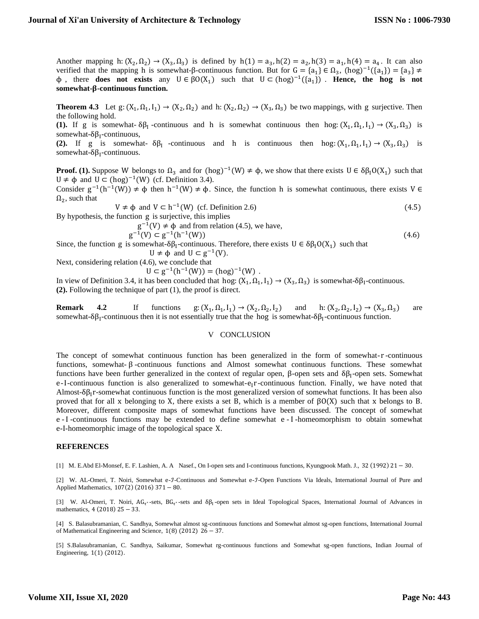Another mapping h:  $(X_2, \Omega_2) \rightarrow (X_3, \Omega_3)$  is defined by  $h(1) = a_3$ ,  $h(2) = a_2$ ,  $h(3) = a_1$ ,  $h(4) = a_4$ . It can also verified that the mapping h is somewhat-β-continuous function. But for  $G = \{a_1\} \in \Omega_3$ ,  $(hog)^{-1}(\{a_1\}) = \{a_3\} \neq$  $\phi$ , there **does not exists** any  $U \in \beta O(X_1)$  such that  $U \subset (h \circ g)^{-1}(\{a_1\})$ . **Hence, the hog is not somewhat--continuous function.** 

**Theorem 4.3** Let  $g: (X_1, \Omega_1, I_1) \to (X_2, \Omega_2)$  and  $h: (X_2, \Omega_2) \to (X_3, \Omega_3)$  be two mappings, with g surjective. Then the following hold.

(1). If g is somewhat-  $\delta\beta_1$ -continuous and h is somewhat continuous then hog:  $(X_1, \Omega_1, I_1) \rightarrow (X_3, \Omega_3)$  is somewhat- $\delta \beta_I$ -continuous,

(2). If g is somewhat-  $\delta \beta_1$  -continuous and h is continuous then hog:  $(X_1, \Omega_1, I_1) \rightarrow (X_3, \Omega_3)$  is somewhat- $\delta \beta_I$ -continuous.

**Proof.** (1). Suppose W belongs to  $\Omega_3$  and for  $(hog)^{-1}(W) \neq \phi$ , we show that there exists  $U \in \delta \beta_1 O(X_1)$  such that  $U \neq \phi$  and  $U \subset (hog)^{-1}(W)$  (cf. Definition 3.4).

Consider  $g^{-1}(h^{-1}(W)) \neq \phi$  then  $h^{-1}(W) \neq \phi$ . Since, the function h is somewhat continuous, there exists V  $\in$  $\Omega_2$ , such that

 $V \neq \phi$  and  $V \subset h^{-1}(W)$  (cf. Definition 2.6) (4.5)

By hypothesis, the function g is surjective, this implies

 $g^{-1}(V) \neq \phi$  and from relation (4.5), we have,

$$
g^{-1}(V) \subset g^{-1}(h^{-1}(W))
$$
\n
$$
g^{-1}(V) \subset g^{-1}(h^{-1}(W))
$$
\n
$$
g(x) = g^{-1}(h^{-1}(W))
$$
\n
$$
g(x) = g^{-1}(h^{-1}(W))
$$
\n
$$
g(x) = g^{-1}(h^{-1}(W))
$$
\n
$$
g(x) = g^{-1}(h^{-1}(W))
$$
\n
$$
g(x) = g^{-1}(h^{-1}(W))
$$
\n
$$
g(x) = g^{-1}(h^{-1}(W))
$$
\n
$$
g(x) = g^{-1}(h^{-1}(W))
$$
\n
$$
g(x) = g^{-1}(h^{-1}(W))
$$
\n
$$
g(x) = g^{-1}(h^{-1}(W))
$$
\n
$$
g(x) = g^{-1}(h^{-1}(W))
$$
\n
$$
g(x) = g^{-1}(h^{-1}(W))
$$
\n
$$
g(x) = g^{-1}(h^{-1}(W))
$$
\n
$$
g(x) = g^{-1}(h^{-1}(W))
$$
\n
$$
g(x) = g^{-1}(h^{-1}(W))
$$
\n
$$
g(x) = g^{-1}(h^{-1}(W))
$$
\n
$$
g(x) = g^{-1}(h^{-1}(W))
$$
\n
$$
g(x) = g^{-1}(h^{-1}(W))
$$
\n
$$
g(x) = g^{-1}(h^{-1}(W))
$$
\n
$$
g(x) = g^{-1}(h^{-1}(W))
$$
\n
$$
g(x) = g^{-1}(h^{-1}(W))
$$
\n
$$
g(x) = g^{-1}(h^{-1}(W))
$$
\n
$$
g(x) = g^{-1}(h^{-1}(W))
$$
\n
$$
g(x) = g^{-1}(h^{-1}(W))
$$
\n
$$
g(x) = g^{-1}(h^{-1}(W))
$$
\n
$$
g(x) = g^{-1}(h^{-1}(W))
$$
\n
$$
g(x) = g^{-1}(h^{-1}(W))
$$
\n
$$
g(x) = g^{-1}(h^{-1}(W))
$$
\n
$$
g(x) = g^{-1}(h^{-1}(W))
$$
\n
$$
g(x) = g^{-1}(h^{-1}(W))
$$
\n
$$
g(x) = g^{-1
$$

Since, the function g is somewhat- $\delta \beta_1$ -continuous. Therefore, there exists  $U \in \delta \beta_1 O(X_1)$  such that  $U \neq \phi$  and  $U \subset g^{-1}(V)$ .

Next, considering relation (4.6), we conclude that

 $U \subset g^{-1}(h^{-1}(W)) = (hog)^{-1}(W)$ .

In view of Definition 3.4, it has been concluded that hog:  $(X_1, \Omega_1, I_1) \to (X_3, \Omega_3)$  is somewhat-δβ<sub>I</sub>-continuous. **(2).** Following the technique of part (1), the proof is direct.

**Remark 4.2** If functions  $g: (X_1, \Omega_1, I_1) \to (X_2, \Omega_2, I_2)$  and  $h: (X_2, \Omega_2, I_2) \to (X_3, \Omega_3)$  are somewhat- $\delta \beta_I$ -continuous then it is not essentially true that the hog is somewhat- $\delta \beta_I$ -continuous function.

## V CONCLUSION

The concept of somewhat continuous function has been generalized in the form of somewhat- r -continuous functions, somewhat- β -continuous functions and Almost somewhat continuous functions. These somewhat functions have been further generalized in the context of regular open, β-open sets and δβ<sub>I</sub>-open sets. Somewhat e-I-continuous function is also generalized to somewhat- $e_1r$ -continuous function. Finally, we have noted that Almost- $\delta \beta_1$ r-somewhat continuous function is the most generalized version of somewhat functions. It has been also proved that for all x belonging to X, there exists a set B, which is a member of  $\beta O(X)$  such that x belongs to B. Moreover, different composite maps of somewhat functions have been discussed. The concept of somewhat e - I -continuous functions may be extended to define somewhat e - I -homeomorphism to obtain somewhat e-I-homeomorphic image of the topological space X.

## **REFERENCES**

[1] M. E.Abd El-Monsef, E. F. Lashien, A. A Nasef., On I-open sets and I-continuous functions, Kyungpook Math. J., 32 (1992) 21 − 30.

[2] W. AL-Omeri, T. Noiri, Somewhat e-J-Continuous and Somewhat e-J-Open Functions Via Ideals, International Journal of Pure and Applied Mathematics, 107(2) (2016) 371 − 80.

[3] W. Al-Omeri, T. Noiri, AG<sub>τ<sup>\*</sup></sub>-sets, BG<sub>τ\*</sub>-sets and δβ<sub>I</sub>-open sets in Ideal Topological Spaces, International Journal of Advances in mathematics, 4 (2018) 25 − 33.

[4] S. Balasubramanian, C. Sandhya, Somewhat almost sg-continuous functions and Somewhat almost sg-open functions, International Journal of Mathematical Engineering and Science,  $1(8)$  (2012) 26 – 37.

[5] S.Balasubramanian, C. Sandhya, Saikumar, Somewhat rg-continuous functions and Somewhat sg-open functions, Indian Journal of Engineering, 1(1) (2012).